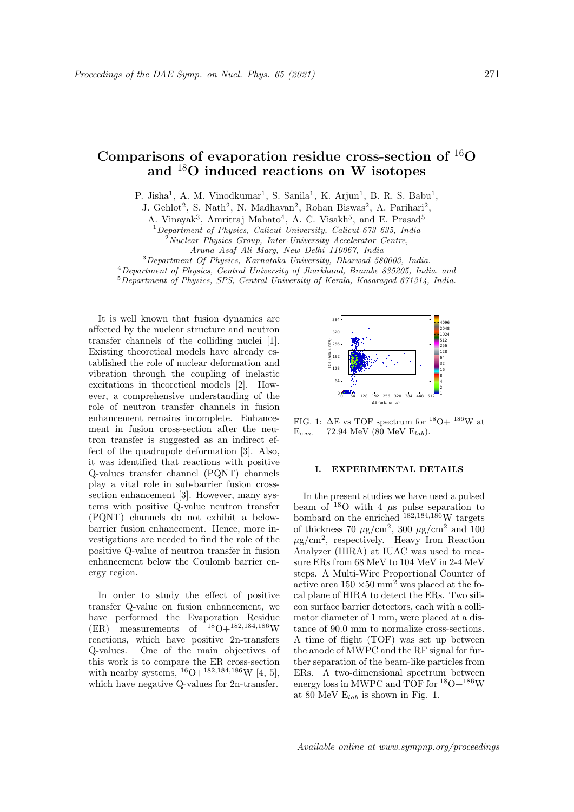# Comparisons of evaporation residue cross-section of <sup>16</sup>O and <sup>18</sup>O induced reactions on W isotopes

P. Jisha<sup>1</sup>, A. M. Vinodkumar<sup>1</sup>, S. Sanila<sup>1</sup>, K. Arjun<sup>1</sup>, B. R. S. Babu<sup>1</sup>,

J. Gehlot<sup>2</sup>, S. Nath<sup>2</sup>, N. Madhavan<sup>2</sup>, Rohan Biswas<sup>2</sup>, A. Parihari<sup>2</sup>,

A. Vinayak<sup>3</sup>, Amritraj Mahato<sup>4</sup>, A. C. Visakh<sup>5</sup>, and E. Prasad<sup>5</sup>

 $1$  Department of Physics, Calicut University, Calicut-673 635, India

 $2^2$ Nuclear Physics Group, Inter-University Accelerator Centre,

Aruna Asaf Ali Marg, New Delhi 110067, India

<sup>3</sup>Department Of Physics, Karnataka University, Dharwad 580003, India.

<sup>4</sup>Department of Physics, Central University of Jharkhand, Brambe 835205, India. and

<sup>5</sup>Department of Physics, SPS, Central University of Kerala, Kasaragod 671314, India.

It is well known that fusion dynamics are affected by the nuclear structure and neutron transfer channels of the colliding nuclei [1]. Existing theoretical models have already established the role of nuclear deformation and vibration through the coupling of inelastic excitations in theoretical models [2]. However, a comprehensive understanding of the role of neutron transfer channels in fusion enhancement remains incomplete. Enhancement in fusion cross-section after the neutron transfer is suggested as an indirect effect of the quadrupole deformation [3]. Also, it was identified that reactions with positive Q-values transfer channel (PQNT) channels play a vital role in sub-barrier fusion crosssection enhancement [3]. However, many systems with positive Q-value neutron transfer (PQNT) channels do not exhibit a belowbarrier fusion enhancement. Hence, more investigations are needed to find the role of the positive Q-value of neutron transfer in fusion enhancement below the Coulomb barrier energy region.

In order to study the effect of positive transfer Q-value on fusion enhancement, we have performed the Evaporation Residue (ER) measurements of  $18O+182,184,186$  W reactions, which have positive 2n-transfers Q-values. One of the main objectives of this work is to compare the ER cross-section with nearby systems,  ${}^{16}O+{}^{182,184,186}W$  [4, 5], which have negative Q-values for 2n-transfer.



FIG. 1:  $\Delta E$  vs TOF spectrum for <sup>18</sup>O+ <sup>186</sup>W at  $E_{c.m.} = 72.94 \text{ MeV (80 MeV } E_{lab}).$ 

## I. EXPERIMENTAL DETAILS

In the present studies we have used a pulsed beam of  $18$ O with 4  $\mu$ s pulse separation to bombard on the enriched  $182,184,186$  W targets of thickness 70  $\mu$ g/cm<sup>2</sup>, 300  $\mu$ g/cm<sup>2</sup> and 100  $\mu$ g/cm<sup>2</sup>, respectively. Heavy Iron Reaction Analyzer (HIRA) at IUAC was used to measure ERs from 68 MeV to 104 MeV in 2-4 MeV steps. A Multi-Wire Proportional Counter of active area  $150 \times 50$  mm<sup>2</sup> was placed at the focal plane of HIRA to detect the ERs. Two silicon surface barrier detectors, each with a collimator diameter of 1 mm, were placed at a distance of 90.0 mm to normalize cross-sections. A time of flight (TOF) was set up between the anode of MWPC and the RF signal for further separation of the beam-like particles from ERs. A two-dimensional spectrum between energy loss in MWPC and TOF for  $^{18}{\rm O} + ^{186}{\rm W}$ at 80 MeV  $E_{lab}$  is shown in Fig. 1.